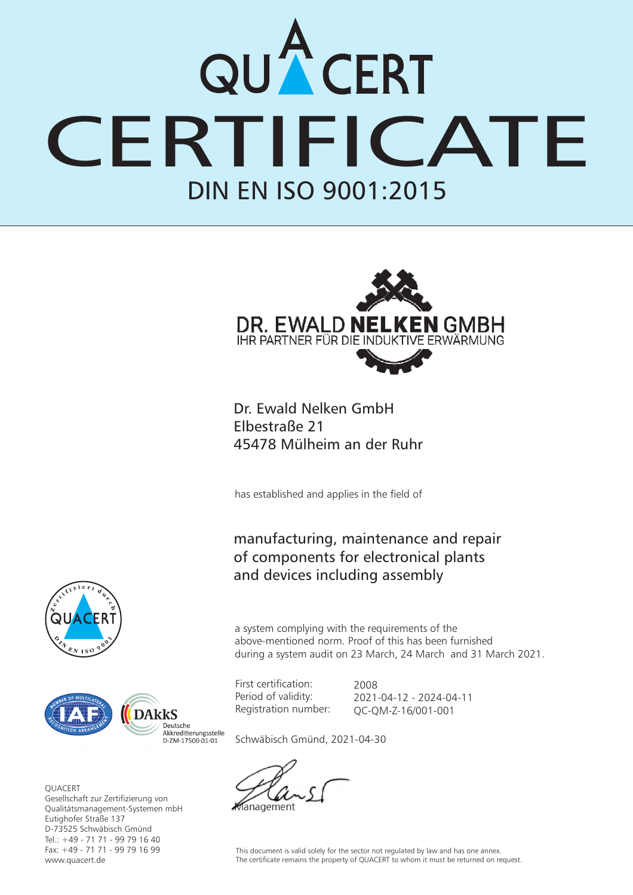## DIN EN ISO 9001:2015 QUACERT<br>CERTIFICATE



Dr. Ewald Nelken GmbH Elbestraße 21 45478 Mülheim an der Ruhr

has established and applies in the field of

## manufacturing, maintenance and repair of components for electronical plants and devices including assembly

 $\sim$  $e^{\int_{0}^{t} \sqrt{t} \cdot \sqrt{t}}$ **D**  $\frac{1}{2}$  **I**  $\frac{1}{2}$  **D**  $\frac{1}{2}$  **D**  $\frac{1}{2}$  **D**  $\frac{1}{2}$  **D**  $\frac{1}{2}$ 



**OUACERT** Gesellschaft zur Zertifizierung von Qualitätsmanagement-Systemen mbH Eutighofer Straße 137 D-73525 Schwäbisch Gmünd Tel.: +49 - 71 71 - 99 79 16 40 Fax: +49 - 71 71 - 99 79 16 99 www.quacert.de

a system complying with the requirements of the above-mentioned norm. Proof of this has been furnished during a system audit on 23 March, 24 March and 31 March 2021.

First certification: Period of validity: Registration number:

2008 2021-04-12 - 2024-04-11 QC-QM-Z-16/001-001

Schwäbisch Gmünd, 2021-04-30

anagement

This document is valid solely for the sector not regulated by law and has one annex. The certificate remains the property of QUACERT to whom it must be returned on request.